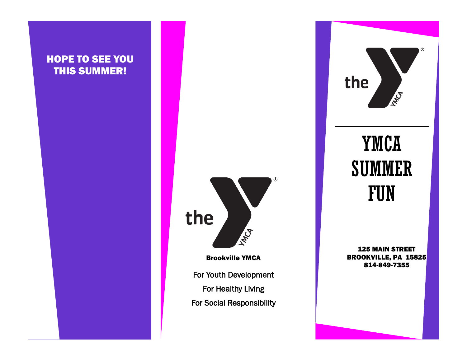## HOPE TO SEE YOU THIS SUMMER!



For Youth Development For Healthy Living For Social Responsibility



## YMCA SUMMER FUN

125 MAIN STREET BROOKVILLE, PA 15825 814-849-7355